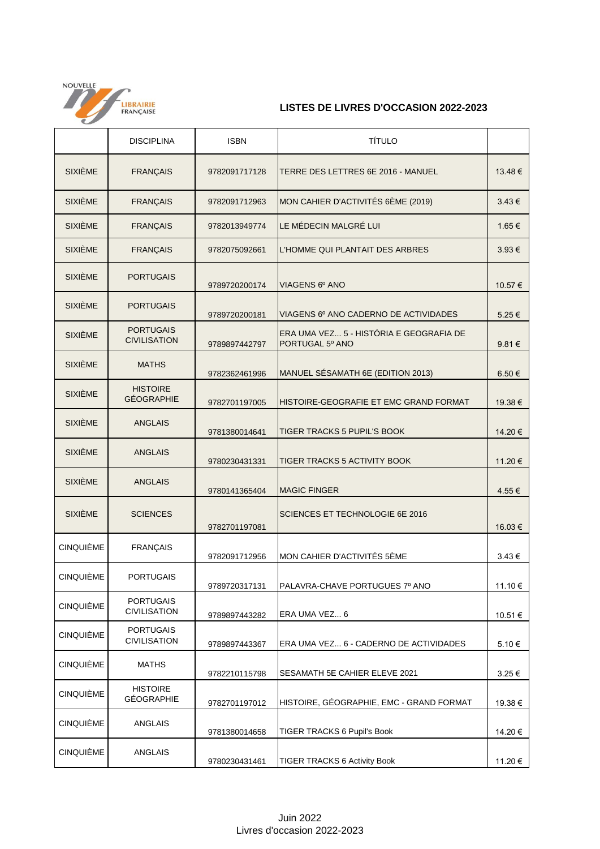

## **LISTES DE LIVRES D'OCCASION 2022-2023**

|                  | <b>DISCIPLINA</b>                       | <b>ISBN</b>   | <b>TÍTULO</b>                                              |                 |
|------------------|-----------------------------------------|---------------|------------------------------------------------------------|-----------------|
| <b>SIXIÈME</b>   | <b>FRANÇAIS</b>                         | 9782091717128 | TERRE DES LETTRES 6E 2016 - MANUEL                         | 13.48 €         |
| <b>SIXIÈME</b>   | <b>FRANÇAIS</b>                         | 9782091712963 | MON CAHIER D'ACTIVITÉS 6ÈME (2019)                         | $3.43 \in$      |
| <b>SIXIÈME</b>   | <b>FRANÇAIS</b>                         | 9782013949774 | LE MÉDECIN MALGRÉ LUI                                      | 1.65 €          |
| <b>SIXIÈME</b>   | <b>FRANÇAIS</b>                         | 9782075092661 | L'HOMME QUI PLANTAIT DES ARBRES                            | 3.93€           |
| <b>SIXIÈME</b>   | <b>PORTUGAIS</b>                        | 9789720200174 | VIAGENS 6º ANO                                             | 10.57€          |
| <b>SIXIÈME</b>   | <b>PORTUGAIS</b>                        | 9789720200181 | VIAGENS 6º ANO CADERNO DE ACTIVIDADES                      | 5.25€           |
| <b>SIXIÈME</b>   | <b>PORTUGAIS</b><br><b>CIVILISATION</b> | 9789897442797 | ERA UMA VEZ 5 - HISTÓRIA E GEOGRAFIA DE<br>PORTUGAL 5º ANO | 9.81 $\epsilon$ |
| <b>SIXIÈME</b>   | <b>MATHS</b>                            | 9782362461996 | MANUEL SÉSAMATH 6E (EDITION 2013)                          | $6.50 \in$      |
| <b>SIXIÈME</b>   | <b>HISTOIRE</b><br><b>GÉOGRAPHIE</b>    | 9782701197005 | HISTOIRE-GEOGRAFIE ET EMC GRAND FORMAT                     | 19.38€          |
| <b>SIXIÈME</b>   | <b>ANGLAIS</b>                          | 9781380014641 | TIGER TRACKS 5 PUPIL'S BOOK                                | 14.20€          |
| <b>SIXIÈME</b>   | <b>ANGLAIS</b>                          | 9780230431331 | <b>TIGER TRACKS 5 ACTIVITY BOOK</b>                        | 11.20€          |
| <b>SIXIÈME</b>   | <b>ANGLAIS</b>                          | 9780141365404 | <b>MAGIC FINGER</b>                                        | 4.55€           |
| <b>SIXIÈME</b>   | <b>SCIENCES</b>                         | 9782701197081 | SCIENCES ET TECHNOLOGIE 6E 2016                            | 16.03€          |
| <b>CINQUIÈME</b> | <b>FRANÇAIS</b>                         | 9782091712956 | MON CAHIER D'ACTIVITÉS 5ÈME                                | $3.43 \in$      |
| <b>CINQUIÈME</b> | <b>PORTUGAIS</b>                        | 9789720317131 | PALAVRA-CHAVE PORTUGUES 7º ANO                             | 11.10€          |
| <b>CINQUIÈME</b> | <b>PORTUGAIS</b><br><b>CIVILISATION</b> | 9789897443282 | ERA UMA VEZ 6                                              | 10.51 €         |
| <b>CINQUIÈME</b> | <b>PORTUGAIS</b><br><b>CIVILISATION</b> | 9789897443367 | ERA UMA VEZ 6 - CADERNO DE ACTIVIDADES                     | 5.10€           |
| <b>CINQUIÈME</b> | <b>MATHS</b>                            | 9782210115798 | SESAMATH 5E CAHIER ELEVE 2021                              | 3.25€           |
| <b>CINQUIÈME</b> | <b>HISTOIRE</b><br><b>GÉOGRAPHIE</b>    | 9782701197012 | HISTOIRE, GÉOGRAPHIE, EMC - GRAND FORMAT                   | 19.38€          |
| <b>CINQUIÈME</b> | <b>ANGLAIS</b>                          | 9781380014658 | TIGER TRACKS 6 Pupil's Book                                | 14.20€          |
| <b>CINQUIÈME</b> | ANGLAIS                                 | 9780230431461 | <b>TIGER TRACKS 6 Activity Book</b>                        | 11.20 €         |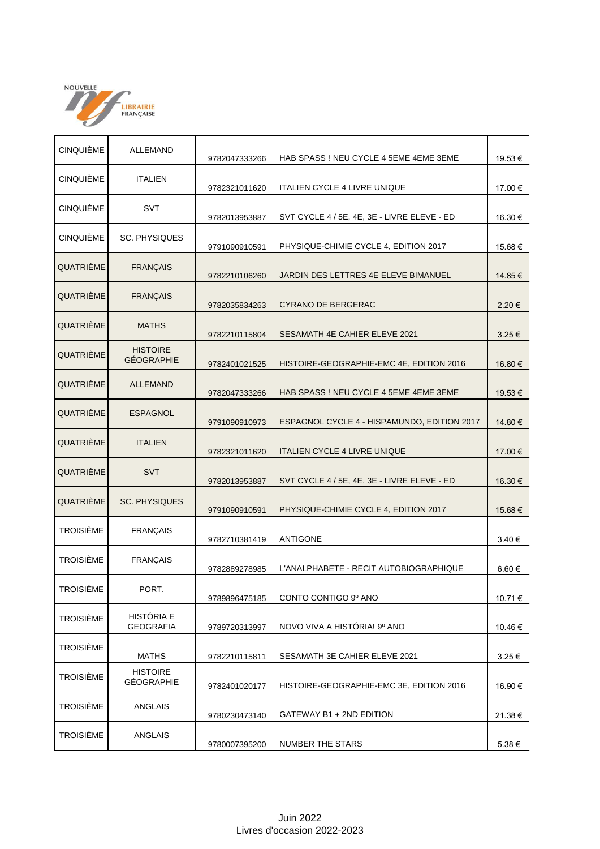

| <b>CINQUIÈME</b> | ALLEMAND                             | 9782047333266 | HAB SPASS ! NEU CYCLE 4 5EME 4EME 3EME      | 19.53€  |
|------------------|--------------------------------------|---------------|---------------------------------------------|---------|
| <b>CINQUIÈME</b> | <b>ITALIEN</b>                       | 9782321011620 | <b>ITALIEN CYCLE 4 LIVRE UNIQUE</b>         | 17.00 € |
| <b>CINQUIÈME</b> | <b>SVT</b>                           | 9782013953887 | SVT CYCLE 4 / 5E, 4E, 3E - LIVRE ELEVE - ED | 16.30 € |
| <b>CINQUIÈME</b> | <b>SC. PHYSIQUES</b>                 | 9791090910591 | PHYSIQUE-CHIMIE CYCLE 4, EDITION 2017       | 15.68€  |
| QUATRIÈME        | <b>FRANÇAIS</b>                      | 9782210106260 | JARDIN DES LETTRES 4E ELEVE BIMANUEL        | 14.85€  |
| QUATRIEME        | <b>FRANÇAIS</b>                      | 9782035834263 | <b>CYRANO DE BERGERAC</b>                   | 2.20€   |
| QUATRIÈME        | <b>MATHS</b>                         | 9782210115804 | <b>SESAMATH 4E CAHIER ELEVE 2021</b>        | 3.25€   |
| QUATRIÈME        | <b>HISTOIRE</b><br><b>GÉOGRAPHIE</b> | 9782401021525 | HISTOIRE-GEOGRAPHIE-EMC 4E, EDITION 2016    | 16.80 € |
| QUATRIÈME        | <b>ALLEMAND</b>                      | 9782047333266 | HAB SPASS ! NEU CYCLE 4 5EME 4EME 3EME      | 19.53 € |
| QUATRIÈME        | <b>ESPAGNOL</b>                      | 9791090910973 | ESPAGNOL CYCLE 4 - HISPAMUNDO, EDITION 2017 | 14.80 € |
| QUATRIÈME        | <b>ITALIEN</b>                       | 9782321011620 | <b>ITALIEN CYCLE 4 LIVRE UNIQUE</b>         | 17.00 € |
| QUATRIEME        | <b>SVT</b>                           | 9782013953887 | SVT CYCLE 4 / 5E, 4E, 3E - LIVRE ELEVE - ED | 16.30 € |
| QUATRIÈME        | <b>SC. PHYSIQUES</b>                 | 9791090910591 | PHYSIQUE-CHIMIE CYCLE 4, EDITION 2017       | 15.68€  |
| <b>TROISIÈME</b> | <b>FRANÇAIS</b>                      | 9782710381419 | <b>ANTIGONE</b>                             | 3.40 €  |
| <b>TROISIÈME</b> | <b>FRANÇAIS</b>                      | 9782889278985 | L'ANALPHABETE - RECIT AUTOBIOGRAPHIQUE      | 6.60€   |
| <b>TROISIÈME</b> | PORT.                                | 9789896475185 | CONTO CONTIGO 9º ANO                        | 10.71 € |
| <b>TROISIÈME</b> | HISTÓRIA E<br><b>GEOGRAFIA</b>       | 9789720313997 | NOVO VIVA A HISTÓRIA! 9º ANO                | 10.46 € |
| <b>TROISIÈME</b> | <b>MATHS</b>                         | 9782210115811 | SESAMATH 3E CAHIER ELEVE 2021               | 3.25€   |
| <b>TROISIÈME</b> | <b>HISTOIRE</b><br><b>GÉOGRAPHIE</b> | 9782401020177 | HISTOIRE-GEOGRAPHIE-EMC 3E, EDITION 2016    | 16.90 € |
| <b>TROISIÈME</b> | ANGLAIS                              | 9780230473140 | GATEWAY B1 + 2ND EDITION                    | 21.38€  |
| <b>TROISIÈME</b> | ANGLAIS                              | 9780007395200 | <b>NUMBER THE STARS</b>                     | 5.38€   |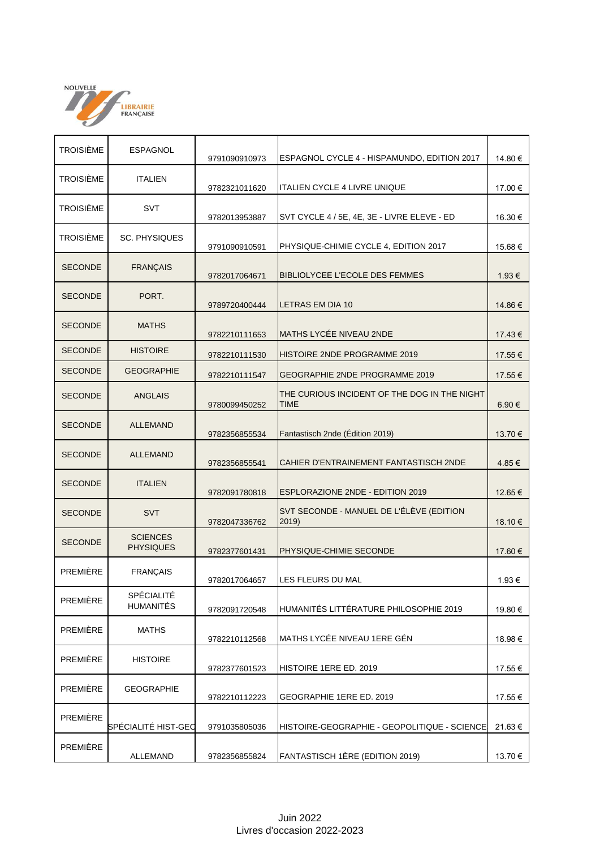

| <b>TROISIÈME</b> | <b>ESPAGNOL</b>                     |               |                                                      |            |
|------------------|-------------------------------------|---------------|------------------------------------------------------|------------|
|                  |                                     | 9791090910973 | ESPAGNOL CYCLE 4 - HISPAMUNDO, EDITION 2017          | 14.80 €    |
| <b>TROISIÈME</b> | <b>ITALIEN</b>                      | 9782321011620 | <b>ITALIEN CYCLE 4 LIVRE UNIQUE</b>                  | 17.00€     |
| <b>TROISIÈME</b> | SVT                                 | 9782013953887 | SVT CYCLE 4 / 5E, 4E, 3E - LIVRE ELEVE - ED          | 16.30 €    |
| <b>TROISIÈME</b> | <b>SC. PHYSIQUES</b>                | 9791090910591 | PHYSIQUE-CHIMIE CYCLE 4, EDITION 2017                | 15.68€     |
| <b>SECONDE</b>   | <b>FRANÇAIS</b>                     | 9782017064671 | BIBLIOLYCEE L'ECOLE DES FEMMES                       | 1.93 €     |
| <b>SECONDE</b>   | PORT.                               | 9789720400444 | LETRAS EM DIA 10                                     | 14.86 €    |
| <b>SECONDE</b>   | <b>MATHS</b>                        | 9782210111653 | MATHS LYCÉE NIVEAU 2NDE                              | 17.43€     |
| <b>SECONDE</b>   | <b>HISTOIRE</b>                     | 9782210111530 | HISTOIRE 2NDE PROGRAMME 2019                         | 17.55€     |
| <b>SECONDE</b>   | <b>GEOGRAPHIE</b>                   | 9782210111547 | GEOGRAPHIE 2NDE PROGRAMME 2019                       | 17.55€     |
| <b>SECONDE</b>   | <b>ANGLAIS</b>                      | 9780099450252 | THE CURIOUS INCIDENT OF THE DOG IN THE NIGHT<br>TIME | $6.90 \in$ |
| <b>SECONDE</b>   | <b>ALLEMAND</b>                     | 9782356855534 | Fantastisch 2nde (Edition 2019)                      | 13.70€     |
| <b>SECONDE</b>   | <b>ALLEMAND</b>                     | 9782356855541 | CAHIER D'ENTRAINEMENT FANTASTISCH 2NDE               | 4.85€      |
| <b>SECONDE</b>   | <b>ITALIEN</b>                      | 9782091780818 | <b>ESPLORAZIONE 2NDE - EDITION 2019</b>              | 12.65 €    |
| <b>SECONDE</b>   | <b>SVT</b>                          | 9782047336762 | SVT SECONDE - MANUEL DE L'ÉLÈVE (EDITION<br>2019)    | 18.10 €    |
| <b>SECONDE</b>   | <b>SCIENCES</b><br><b>PHYSIQUES</b> | 9782377601431 | PHYSIQUE-CHIMIE SECONDE                              | 17.60€     |
| PREMIÈRE         | <b>FRANÇAIS</b>                     | 9782017064657 | LES FLEURS DU MAL                                    | 1.93 €     |
| PREMIÈRE         | SPÉCIALITÉ<br><b>HUMANITÉS</b>      | 9782091720548 | HUMANITÉS LITTÉRATURE PHILOSOPHIE 2019               | 19.80 €    |
| <b>PREMIÈRE</b>  | <b>MATHS</b>                        | 9782210112568 | MATHS LYCÉE NIVEAU 1ERE GÉN                          | 18.98€     |
| <b>PREMIÈRE</b>  | <b>HISTOIRE</b>                     | 9782377601523 | HISTOIRE 1ERE ED. 2019                               | 17.55 €    |
| PREMIÈRE         | <b>GEOGRAPHIE</b>                   | 9782210112223 | GEOGRAPHIE 1ERE ED. 2019                             | 17.55€     |
| PREMIÈRE         | SPÉCIALITÉ HIST-GEO                 | 9791035805036 | HISTOIRE-GEOGRAPHIE - GEOPOLITIQUE - SCIENCE         | 21.63 €    |
| PREMIÈRE         | ALLEMAND                            | 9782356855824 | FANTASTISCH 1ÈRE (EDITION 2019)                      | 13.70 €    |